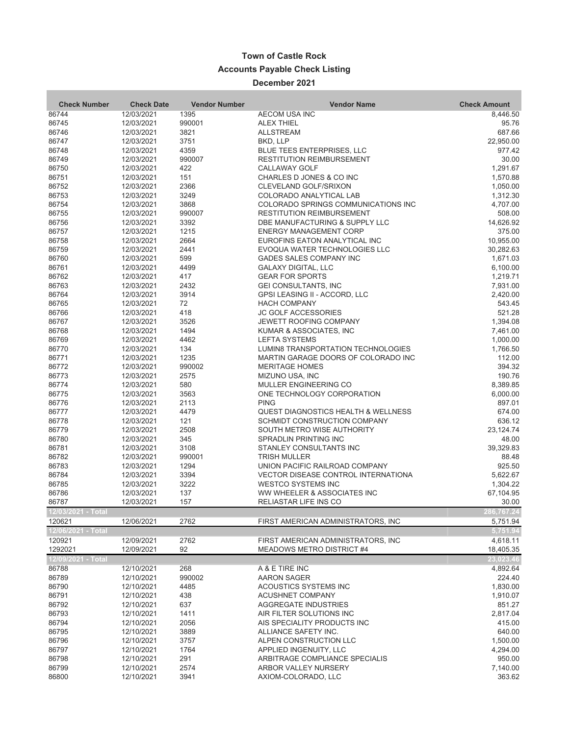## **Town of Castle Rock Accounts Payable Check Listing**

## **December 2021**

| <b>Check Number</b>         | <b>Check Date</b>        | <b>Vendor Number</b> | <b>Vendor Name</b>                                                           | <b>Check Amount</b>    |
|-----------------------------|--------------------------|----------------------|------------------------------------------------------------------------------|------------------------|
| 86744                       | 12/03/2021               | 1395                 | AECOM USA INC                                                                | 8,446.50               |
| 86745                       | 12/03/2021               | 990001               | <b>ALEX THIEL</b>                                                            | 95.76                  |
| 86746                       | 12/03/2021               | 3821                 | <b>ALLSTREAM</b>                                                             | 687.66                 |
| 86747                       | 12/03/2021               | 3751                 | BKD, LLP                                                                     | 22,950.00              |
| 86748                       | 12/03/2021               | 4359                 | <b>BLUE TEES ENTERPRISES, LLC</b>                                            | 977.42                 |
| 86749                       | 12/03/2021               | 990007               | <b>RESTITUTION REIMBURSEMENT</b>                                             | 30.00                  |
| 86750                       | 12/03/2021               | 422                  | <b>CALLAWAY GOLF</b>                                                         | 1,291.67               |
| 86751                       | 12/03/2021               | 151                  | CHARLES D JONES & CO INC                                                     | 1,570.88               |
| 86752                       | 12/03/2021               | 2366                 | CLEVELAND GOLF/SRIXON                                                        | 1,050.00               |
| 86753                       | 12/03/2021               | 3249                 | COLORADO ANALYTICAL LAB                                                      | 1,312.30               |
| 86754                       | 12/03/2021               | 3868                 | COLORADO SPRINGS COMMUNICATIONS INC                                          | 4,707.00               |
| 86755                       | 12/03/2021               | 990007               | <b>RESTITUTION REIMBURSEMENT</b>                                             | 508.00                 |
| 86756                       | 12/03/2021               | 3392                 | DBE MANUFACTURING & SUPPLY LLC                                               | 14,626.92              |
| 86757                       | 12/03/2021               | 1215                 | <b>ENERGY MANAGEMENT CORP</b>                                                | 375.00                 |
| 86758<br>86759              | 12/03/2021<br>12/03/2021 | 2664<br>2441         | EUROFINS EATON ANALYTICAL INC<br>EVOQUA WATER TECHNOLOGIES LLC               | 10,955.00<br>30,282.63 |
| 86760                       | 12/03/2021               | 599                  | GADES SALES COMPANY INC                                                      | 1,671.03               |
| 86761                       | 12/03/2021               | 4499                 | <b>GALAXY DIGITAL, LLC</b>                                                   | 6,100.00               |
| 86762                       | 12/03/2021               | 417                  | <b>GEAR FOR SPORTS</b>                                                       | 1,219.71               |
| 86763                       | 12/03/2021               | 2432                 | <b>GEI CONSULTANTS, INC</b>                                                  | 7,931.00               |
| 86764                       | 12/03/2021               | 3914                 | GPSI LEASING II - ACCORD, LLC                                                | 2,420.00               |
| 86765                       | 12/03/2021               | 72                   | <b>HACH COMPANY</b>                                                          | 543.45                 |
| 86766                       | 12/03/2021               | 418                  | <b>JC GOLF ACCESSORIES</b>                                                   | 521.28                 |
| 86767                       | 12/03/2021               | 3526                 | <b>JEWETT ROOFING COMPANY</b>                                                | 1,394.08               |
| 86768                       | 12/03/2021               | 1494                 | KUMAR & ASSOCIATES, INC                                                      | 7,461.00               |
| 86769                       | 12/03/2021               | 4462                 | <b>LEFTA SYSTEMS</b>                                                         | 1,000.00               |
| 86770                       | 12/03/2021               | 134                  | LUMIN8 TRANSPORTATION TECHNOLOGIES                                           | 1,766.50               |
| 86771                       | 12/03/2021               | 1235                 | MARTIN GARAGE DOORS OF COLORADO INC                                          | 112.00                 |
| 86772                       | 12/03/2021               | 990002               | <b>MERITAGE HOMES</b>                                                        | 394.32                 |
| 86773                       | 12/03/2021               | 2575                 | MIZUNO USA, INC                                                              | 190.76                 |
| 86774                       | 12/03/2021               | 580                  | MULLER ENGINEERING CO                                                        | 8,389.85               |
| 86775                       | 12/03/2021               | 3563                 | ONE TECHNOLOGY CORPORATION                                                   | 6,000.00               |
| 86776                       | 12/03/2021               | 2113                 | <b>PING</b>                                                                  | 897.01                 |
| 86777                       | 12/03/2021               | 4479                 | <b>QUEST DIAGNOSTICS HEALTH &amp; WELLNESS</b>                               | 674.00                 |
| 86778                       | 12/03/2021               | 121                  | SCHMIDT CONSTRUCTION COMPANY                                                 | 636.12                 |
| 86779                       | 12/03/2021               | 2508                 | SOUTH METRO WISE AUTHORITY                                                   | 23,124.74              |
| 86780                       | 12/03/2021               | 345                  | SPRADLIN PRINTING INC                                                        | 48.00                  |
| 86781                       | 12/03/2021               | 3108                 | STANLEY CONSULTANTS INC                                                      | 39,329.83              |
| 86782                       | 12/03/2021               | 990001               | <b>TRISH MULLER</b>                                                          | 88.48                  |
| 86783<br>86784              | 12/03/2021               | 1294<br>3394         | UNION PACIFIC RAILROAD COMPANY<br><b>VECTOR DISEASE CONTROL INTERNATIONA</b> | 925.50<br>5,622.67     |
| 86785                       | 12/03/2021<br>12/03/2021 | 3222                 | <b>WESTCO SYSTEMS INC</b>                                                    | 1,304.22               |
| 86786                       | 12/03/2021               | 137                  | WW WHEELER & ASSOCIATES INC                                                  | 67,104.95              |
| 86787                       | 12/03/2021               | 157                  | RELIASTAR LIFE INS CO                                                        | 30.00                  |
| 12/03/2021 - Total          |                          |                      |                                                                              |                        |
| 120621                      | 12/06/2021               | 2762                 | FIRST AMERICAN ADMINISTRATORS, INC                                           | 5,751.94               |
| <u> 12/0</u> 6/2021 - Total |                          |                      |                                                                              | 5,751.94               |
| 120921                      | 12/09/2021               | 2762                 | FIRST AMERICAN ADMINISTRATORS, INC                                           | 4,618.11               |
| 1292021                     | 12/09/2021               | 92                   | MEADOWS METRO DISTRICT #4                                                    | 18,405.35              |
| 12/09/2021 - Total          |                          |                      |                                                                              | 23,023.46              |
| 86788                       | 12/10/2021               | 268                  | A & E TIRE INC                                                               | 4,892.64               |
| 86789                       | 12/10/2021               | 990002               | <b>AARON SAGER</b>                                                           | 224.40                 |
| 86790                       | 12/10/2021               | 4485                 | ACOUSTICS SYSTEMS INC                                                        | 1,830.00               |
| 86791                       | 12/10/2021               | 438                  | <b>ACUSHNET COMPANY</b>                                                      | 1,910.07               |
| 86792                       | 12/10/2021               | 637                  | AGGREGATE INDUSTRIES                                                         | 851.27                 |
| 86793                       | 12/10/2021               | 1411                 | AIR FILTER SOLUTIONS INC                                                     | 2,817.04               |
| 86794                       | 12/10/2021               | 2056                 | AIS SPECIALITY PRODUCTS INC                                                  | 415.00                 |
| 86795                       | 12/10/2021               | 3889                 | ALLIANCE SAFETY INC.                                                         | 640.00                 |
| 86796                       | 12/10/2021               | 3757                 | ALPEN CONSTRUCTION LLC                                                       | 1,500.00               |
| 86797                       | 12/10/2021               | 1764                 | APPLIED INGENUITY, LLC                                                       | 4,294.00               |
| 86798                       | 12/10/2021               | 291                  | ARBITRAGE COMPLIANCE SPECIALIS                                               | 950.00                 |
| 86799                       | 12/10/2021               | 2574                 | ARBOR VALLEY NURSERY                                                         | 7,140.00               |
| 86800                       | 12/10/2021               | 3941                 | AXIOM-COLORADO, LLC                                                          | 363.62                 |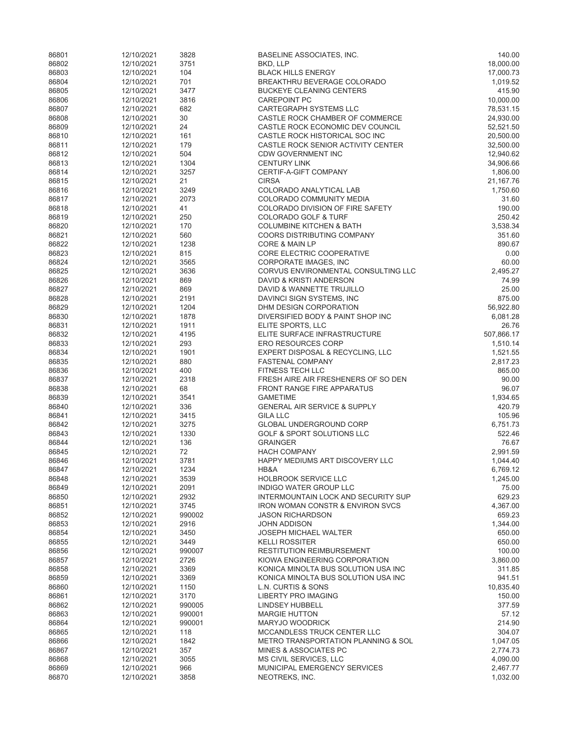| 86801          | 12/10/2021               | 3828        | BASELINE ASSOCIATES, INC.                                                          | 140.00               |
|----------------|--------------------------|-------------|------------------------------------------------------------------------------------|----------------------|
| 86802          | 12/10/2021               | 3751        | BKD, LLP                                                                           | 18,000.00            |
| 86803          | 12/10/2021               | 104         | <b>BLACK HILLS ENERGY</b>                                                          | 17,000.73            |
| 86804          | 12/10/2021               | 701         | BREAKTHRU BEVERAGE COLORADO                                                        | 1,019.52             |
| 86805          | 12/10/2021               | 3477        | <b>BUCKEYE CLEANING CENTERS</b>                                                    | 415.90               |
| 86806          | 12/10/2021               | 3816        | <b>CAREPOINT PC</b>                                                                | 10,000.00            |
| 86807          | 12/10/2021               | 682         | <b>CARTEGRAPH SYSTEMS LLC</b>                                                      | 78,531.15            |
| 86808          | 12/10/2021               | 30          | CASTLE ROCK CHAMBER OF COMMERCE                                                    | 24,930.00            |
| 86809          | 12/10/2021               | 24          | CASTLE ROCK ECONOMIC DEV COUNCIL                                                   | 52,521.50            |
| 86810          | 12/10/2021               | 161         | CASTLE ROCK HISTORICAL SOC INC                                                     | 20,500.00            |
| 86811          | 12/10/2021               | 179         | CASTLE ROCK SENIOR ACTIVITY CENTER                                                 | 32,500.00            |
| 86812          | 12/10/2021               | 504         | <b>CDW GOVERNMENT INC</b>                                                          | 12,940.62            |
| 86813          | 12/10/2021               | 1304        | <b>CENTURY LINK</b>                                                                | 34,906.66            |
| 86814          | 12/10/2021               | 3257        | CERTIF-A-GIFT COMPANY                                                              | 1,806.00             |
| 86815          | 12/10/2021               | 21          | <b>CIRSA</b>                                                                       | 21,167.76            |
| 86816          | 12/10/2021               | 3249        | COLORADO ANALYTICAL LAB                                                            | 1,750.60             |
| 86817          | 12/10/2021               | 2073        | COLORADO COMMUNITY MEDIA                                                           | 31.60                |
| 86818          | 12/10/2021               | 41          | COLORADO DIVISION OF FIRE SAFETY                                                   | 190.00               |
| 86819          | 12/10/2021               | 250         | COLORADO GOLF & TURF                                                               | 250.42               |
| 86820          | 12/10/2021               | 170         | <b>COLUMBINE KITCHEN &amp; BATH</b>                                                | 3,538.34             |
| 86821          | 12/10/2021               | 560         | <b>COORS DISTRIBUTING COMPANY</b>                                                  | 351.60               |
| 86822          | 12/10/2021               | 1238        | CORE & MAIN LP                                                                     | 890.67               |
| 86823          | 12/10/2021               | 815         | CORE ELECTRIC COOPERATIVE                                                          | 0.00                 |
| 86824          | 12/10/2021               | 3565        | CORPORATE IMAGES, INC                                                              | 60.00                |
| 86825          | 12/10/2021               | 3636        | CORVUS ENVIRONMENTAL CONSULTING LLC                                                | 2,495.27             |
| 86826<br>86827 | 12/10/2021<br>12/10/2021 | 869<br>869  | DAVID & KRISTI ANDERSON<br>DAVID & WANNETTE TRUJILLO                               | 74.99<br>25.00       |
| 86828          | 12/10/2021               | 2191        | DAVINCI SIGN SYSTEMS, INC                                                          | 875.00               |
| 86829          | 12/10/2021               | 1204        | DHM DESIGN CORPORATION                                                             | 56,922.80            |
| 86830          | 12/10/2021               | 1878        | DIVERSIFIED BODY & PAINT SHOP INC                                                  | 6,081.28             |
| 86831          | 12/10/2021               | 1911        | ELITE SPORTS, LLC                                                                  | 26.76                |
| 86832          | 12/10/2021               | 4195        | ELITE SURFACE INFRASTRUCTURE                                                       | 507,866.17           |
| 86833          | 12/10/2021               | 293         | <b>ERO RESOURCES CORP</b>                                                          | 1,510.14             |
| 86834          | 12/10/2021               | 1901        | EXPERT DISPOSAL & RECYCLING, LLC                                                   | 1,521.55             |
| 86835          | 12/10/2021               | 880         | <b>FASTENAL COMPANY</b>                                                            | 2,817.23             |
| 86836          | 12/10/2021               | 400         | FITNESS TECH LLC                                                                   | 865.00               |
| 86837          | 12/10/2021               | 2318        | FRESH AIRE AIR FRESHENERS OF SO DEN                                                | 90.00                |
| 86838          | 12/10/2021               | 68          | <b>FRONT RANGE FIRE APPARATUS</b>                                                  | 96.07                |
| 86839          | 12/10/2021               | 3541        | <b>GAMETIME</b>                                                                    | 1,934.65             |
| 86840          | 12/10/2021               | 336         | <b>GENERAL AIR SERVICE &amp; SUPPLY</b>                                            | 420.79               |
| 86841          | 12/10/2021               | 3415        | <b>GILA LLC</b>                                                                    | 105.96               |
| 86842          | 12/10/2021               | 3275        | GLOBAL UNDERGROUND CORP                                                            | 6,751.73             |
| 86843          | 12/10/2021               | 1330        | <b>GOLF &amp; SPORT SOLUTIONS LLC</b>                                              | 522.46               |
| 86844          | 12/10/2021               | 136         | <b>GRAINGER</b>                                                                    | 76.67                |
| 86845          | 12/10/2021               | 72          | <b>HACH COMPANY</b>                                                                | 2,991.59             |
| 86846          | 12/10/2021               | 3781        | HAPPY MEDIUMS ART DISCOVERY LLC                                                    | 1,044.40             |
| 86847          | 12/10/2021               | 1234        | HB&A                                                                               | 6,769.12             |
| 86848          | 12/10/2021               | 3539        | <b>HOLBROOK SERVICE LLC</b>                                                        | 1,245.00             |
| 86849          | 12/10/2021               | 2091        | INDIGO WATER GROUP LLC                                                             | 75.00                |
| 86850          | 12/10/2021               | 2932        | INTERMOUNTAIN LOCK AND SECURITY SUP                                                | 629.23               |
| 86851          | 12/10/2021               | 3745        | <b>IRON WOMAN CONSTR &amp; ENVIRON SVCS</b>                                        | 4,367.00             |
| 86852          | 12/10/2021               | 990002      | <b>JASON RICHARDSON</b>                                                            | 659.23               |
| 86853          | 12/10/2021               | 2916        | <b>JOHN ADDISON</b>                                                                | 1,344.00             |
| 86854          | 12/10/2021               | 3450        | <b>JOSEPH MICHAEL WALTER</b>                                                       | 650.00               |
| 86855          | 12/10/2021               | 3449        | <b>KELLI ROSSITER</b>                                                              | 650.00               |
| 86856          | 12/10/2021               | 990007      | <b>RESTITUTION REIMBURSEMENT</b>                                                   | 100.00               |
| 86857          | 12/10/2021               | 2726        | KIOWA ENGINEERING CORPORATION                                                      | 3,860.00             |
| 86858          | 12/10/2021               | 3369        | KONICA MINOLTA BUS SOLUTION USA INC                                                | 311.85               |
| 86859          | 12/10/2021               | 3369        | KONICA MINOLTA BUS SOLUTION USA INC                                                | 941.51               |
| 86860          | 12/10/2021               | 1150        | <b>L.N. CURTIS &amp; SONS</b>                                                      | 10,835.40            |
| 86861          | 12/10/2021               | 3170        | <b>LIBERTY PRO IMAGING</b>                                                         | 150.00               |
| 86862          | 12/10/2021               | 990005      | <b>LINDSEY HUBBELL</b>                                                             | 377.59               |
| 86863          | 12/10/2021               | 990001      | <b>MARGIE HUTTON</b>                                                               | 57.12                |
| 86864          | 12/10/2021               | 990001      | <b>MARYJO WOODRICK</b>                                                             | 214.90               |
| 86865<br>86866 | 12/10/2021               | 118         | <b>MCCANDLESS TRUCK CENTER LLC</b>                                                 | 304.07               |
| 86867          | 12/10/2021<br>12/10/2021 | 1842<br>357 | <b>METRO TRANSPORTATION PLANNING &amp; SOL</b><br><b>MINES &amp; ASSOCIATES PC</b> | 1,047.05<br>2,774.73 |
| 86868          | 12/10/2021               | 3055        | MS CIVIL SERVICES, LLC                                                             | 4,090.00             |
| 86869          | 12/10/2021               | 966         | MUNICIPAL EMERGENCY SERVICES                                                       | 2,467.77             |
| 86870          | 12/10/2021               | 3858        | NEOTREKS, INC.                                                                     | 1,032.00             |
|                |                          |             |                                                                                    |                      |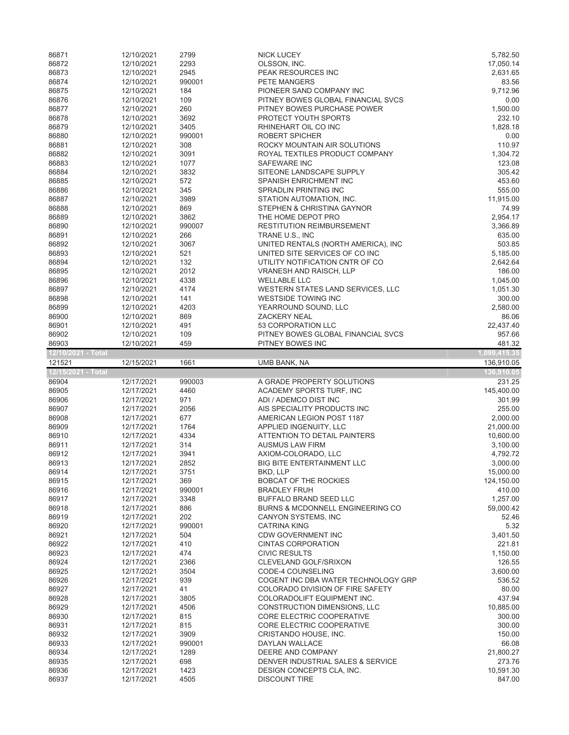| 86871              | 12/10/2021               | 2799         | <b>NICK LUCEY</b>                                 | 5,782.50            |
|--------------------|--------------------------|--------------|---------------------------------------------------|---------------------|
| 86872              | 12/10/2021               | 2293         | OLSSON, INC.                                      | 17,050.14           |
| 86873              | 12/10/2021               | 2945         | PEAK RESOURCES INC                                | 2,631.65            |
| 86874              | 12/10/2021               | 990001       | PETE MANGERS                                      | 83.56               |
| 86875              | 12/10/2021               | 184          | PIONEER SAND COMPANY INC                          | 9,712.96            |
| 86876              | 12/10/2021               | 109          | PITNEY BOWES GLOBAL FINANCIAL SVCS                | 0.00                |
| 86877              | 12/10/2021               | 260          | PITNEY BOWES PURCHASE POWER                       | 1,500.00            |
| 86878              | 12/10/2021               | 3692         | PROTECT YOUTH SPORTS                              | 232.10              |
| 86879              | 12/10/2021               | 3405         | RHINEHART OIL CO INC                              | 1,828.18            |
| 86880              | 12/10/2021               | 990001       | <b>ROBERT SPICHER</b>                             | 0.00                |
| 86881              | 12/10/2021               | 308          | ROCKY MOUNTAIN AIR SOLUTIONS                      | 110.97              |
| 86882              | 12/10/2021               | 3091         | ROYAL TEXTILES PRODUCT COMPANY                    | 1,304.72            |
| 86883              | 12/10/2021               | 1077         | <b>SAFEWARE INC</b>                               | 123.08              |
| 86884              | 12/10/2021               | 3832         | SITEONE LANDSCAPE SUPPLY                          | 305.42              |
| 86885              | 12/10/2021               | 572          | SPANISH ENRICHMENT INC                            | 453.60              |
| 86886              | 12/10/2021               | 345          | SPRADLIN PRINTING INC                             | 555.00              |
| 86887              | 12/10/2021               | 3989         | STATION AUTOMATION, INC.                          | 11,915.00           |
| 86888              | 12/10/2021               | 869          | STEPHEN & CHRISTINA GAYNOR                        | 74.99               |
| 86889              | 12/10/2021               | 3862         | THE HOME DEPOT PRO                                | 2,954.17            |
| 86890              | 12/10/2021               | 990007       | <b>RESTITUTION REIMBURSEMENT</b>                  | 3,366.89            |
| 86891              | 12/10/2021               | 266          | TRANE U.S., INC                                   | 635.00              |
| 86892              | 12/10/2021               | 3067         | UNITED RENTALS (NORTH AMERICA), INC               | 503.85              |
| 86893              | 12/10/2021               | 521          | UNITED SITE SERVICES OF CO INC                    | 5,185.00            |
| 86894              | 12/10/2021               | 132          | UTILITY NOTIFICATION CNTR OF CO                   | 2,642.64            |
| 86895              | 12/10/2021               | 2012         | <b>VRANESH AND RAISCH, LLP</b>                    | 186.00              |
| 86896              | 12/10/2021               | 4338         | <b>WELLABLE LLC</b>                               | 1,045.00            |
| 86897              | 12/10/2021               | 4174         | WESTERN STATES LAND SERVICES, LLC                 | 1,051.30            |
| 86898              | 12/10/2021               | 141          | <b>WESTSIDE TOWING INC</b>                        | 300.00              |
| 86899              | 12/10/2021               | 4203         | YEARROUND SOUND, LLC                              | 2,580.00            |
| 86900              | 12/10/2021               | 869          | <b>ZACKERY NEAL</b>                               | 86.06               |
| 86901              | 12/10/2021               | 491          | 53 CORPORATION LLC                                | 22,437.40           |
| 86902              | 12/10/2021               | 109          | PITNEY BOWES GLOBAL FINANCIAL SVCS                | 957.66              |
| 86903              | 12/10/2021               | 459          | PITNEY BOWES INC                                  | 481.32              |
| 12/10/2021 - Total |                          |              |                                                   | 1,099,415.35        |
| 121521             | 12/15/2021               | 1661         | UMB BANK, NA                                      | 136,910.05          |
|                    |                          |              |                                                   |                     |
| 12/15/2021 - Total |                          |              |                                                   | 136,910.05          |
| 86904              | 12/17/2021               | 990003       | A GRADE PROPERTY SOLUTIONS                        | 231.25              |
| 86905              | 12/17/2021               | 4460         | ACADEMY SPORTS TURF, INC                          | 145,400.00          |
| 86906              | 12/17/2021               | 971          | ADI / ADEMCO DIST INC                             | 301.99              |
| 86907              | 12/17/2021               | 2056         | AIS SPECIALITY PRODUCTS INC                       | 255.00              |
| 86908              | 12/17/2021               | 677          | AMERICAN LEGION POST 1187                         | 2,000.00            |
| 86909              | 12/17/2021               | 1764         | APPLIED INGENUITY, LLC                            | 21,000.00           |
| 86910              | 12/17/2021               | 4334         | ATTENTION TO DETAIL PAINTERS                      | 10,600.00           |
| 86911              | 12/17/2021               | 314          | <b>AUSMUS LAW FIRM</b>                            | 3,100.00            |
| 86912              | 12/17/2021               | 3941         | AXIOM-COLORADO, LLC                               | 4,792.72            |
| 86913              | 12/17/2021               | 2852         | <b>BIG BITE ENTERTAINMENT LLC</b>                 | 3,000.00            |
| 86914              | 12/17/2021               | 3751         | BKD, LLP                                          | 15,000.00           |
| 86915              | 12/17/2021               | 369          | <b>BOBCAT OF THE ROCKIES</b>                      | 124,150.00          |
| 86916              | 12/17/2021               | 990001       | <b>BRADLEY FRUH</b>                               | 410.00              |
| 86917              | 12/17/2021               | 3348         | BUFFALO BRAND SEED LLC                            | 1,257.00            |
| 86918              | 12/17/2021               | 886          | BURNS & MCDONNELL ENGINEERING CO                  | 59,000.42           |
| 86919              | 12/17/2021               | 202          | CANYON SYSTEMS, INC                               | 52.46               |
| 86920              | 12/17/2021               | 990001       | <b>CATRINA KING</b>                               | 5.32                |
| 86921              | 12/17/2021               | 504          | <b>CDW GOVERNMENT INC</b>                         | 3,401.50            |
| 86922              | 12/17/2021               | 410          | <b>CINTAS CORPORATION</b>                         | 221.81              |
| 86923              | 12/17/2021               | 474          | <b>CIVIC RESULTS</b>                              | 1,150.00            |
| 86924              | 12/17/2021               | 2366         | CLEVELAND GOLF/SRIXON                             | 126.55              |
| 86925              | 12/17/2021               | 3504         | CODE-4 COUNSELING                                 | 3,600.00            |
| 86926              | 12/17/2021               | 939          | COGENT INC DBA WATER TECHNOLOGY GRP               | 536.52              |
| 86927              | 12/17/2021               | 41           | COLORADO DIVISION OF FIRE SAFETY                  | 80.00               |
| 86928              | 12/17/2021               | 3805         | COLORADOLIFT EQUIPMENT INC.                       | 437.94              |
| 86929              | 12/17/2021               | 4506         | <b>CONSTRUCTION DIMENSIONS, LLC</b>               | 10,885.00           |
| 86930              | 12/17/2021               | 815          | CORE ELECTRIC COOPERATIVE                         | 300.00              |
| 86931              | 12/17/2021               | 815          | CORE ELECTRIC COOPERATIVE                         | 300.00              |
| 86932              | 12/17/2021               | 3909         | CRISTANDO HOUSE, INC.                             | 150.00              |
| 86933              | 12/17/2021               | 990001       | DAYLAN WALLACE                                    | 66.08               |
| 86934              | 12/17/2021               | 1289         | DEERE AND COMPANY                                 | 21,800.27           |
| 86935              | 12/17/2021               | 698          | DENVER INDUSTRIAL SALES & SERVICE                 | 273.76              |
| 86936<br>86937     | 12/17/2021<br>12/17/2021 | 1423<br>4505 | DESIGN CONCEPTS CLA, INC.<br><b>DISCOUNT TIRE</b> | 10,591.30<br>847.00 |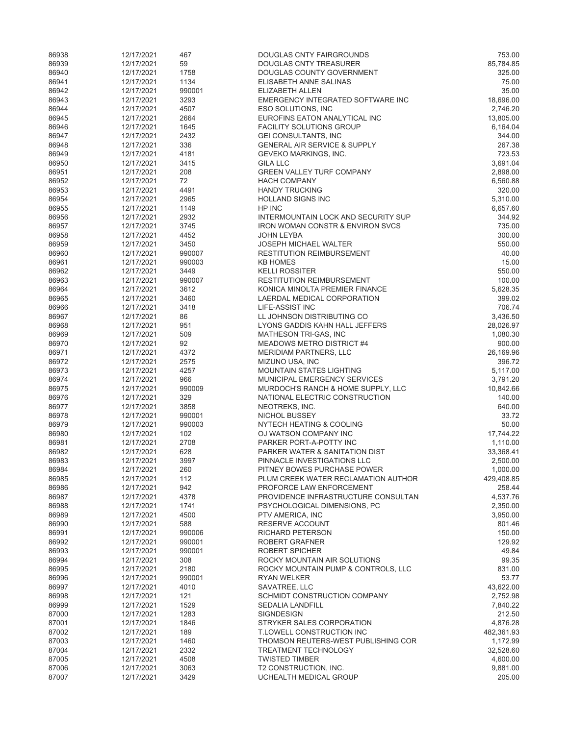| 86938          | 12/17/2021               | 467         | DOUGLAS CNTY FAIRGROUNDS                             | 753.00           |
|----------------|--------------------------|-------------|------------------------------------------------------|------------------|
| 86939          | 12/17/2021               | 59          | DOUGLAS CNTY TREASURER                               | 85,784.85        |
| 86940          | 12/17/2021               | 1758        | DOUGLAS COUNTY GOVERNMENT                            | 325.00           |
| 86941          | 12/17/2021               | 1134        | ELISABETH ANNE SALINAS                               | 75.00            |
| 86942          | 12/17/2021               | 990001      | ELIZABETH ALLEN                                      | 35.00            |
| 86943          | 12/17/2021               | 3293        | EMERGENCY INTEGRATED SOFTWARE INC                    | 18,696.00        |
| 86944          | 12/17/2021               | 4507        | ESO SOLUTIONS, INC                                   | 2,746.20         |
| 86945          | 12/17/2021               | 2664        | EUROFINS EATON ANALYTICAL INC                        | 13,805.00        |
| 86946          | 12/17/2021               | 1645        | <b>FACILITY SOLUTIONS GROUP</b>                      | 6,164.04         |
| 86947          | 12/17/2021               | 2432        | GEI CONSULTANTS, INC                                 | 344.00           |
| 86948          | 12/17/2021               | 336         | <b>GENERAL AIR SERVICE &amp; SUPPLY</b>              | 267.38           |
| 86949          | 12/17/2021               | 4181        | GEVEKO MARKINGS, INC.                                | 723.53           |
| 86950          | 12/17/2021               | 3415        | <b>GILA LLC</b>                                      | 3,691.04         |
| 86951          | 12/17/2021               | 208         | <b>GREEN VALLEY TURF COMPANY</b>                     | 2,898.00         |
| 86952          | 12/17/2021               | 72          | <b>HACH COMPANY</b>                                  | 6,560.88         |
| 86953          | 12/17/2021               | 4491        | <b>HANDY TRUCKING</b>                                | 320.00           |
| 86954          | 12/17/2021               | 2965        | <b>HOLLAND SIGNS INC</b>                             | 5,310.00         |
| 86955          | 12/17/2021               | 1149        | HP INC                                               | 6,657.60         |
| 86956          | 12/17/2021               | 2932        | INTERMOUNTAIN LOCK AND SECURITY SUP                  | 344.92           |
| 86957          | 12/17/2021               | 3745        | <b>IRON WOMAN CONSTR &amp; ENVIRON SVCS</b>          | 735.00           |
| 86958          | 12/17/2021               | 4452        | <b>JOHN LEYBA</b>                                    | 300.00           |
| 86959          | 12/17/2021               | 3450        | <b>JOSEPH MICHAEL WALTER</b>                         | 550.00           |
| 86960          | 12/17/2021               | 990007      | <b>RESTITUTION REIMBURSEMENT</b>                     | 40.00            |
| 86961          | 12/17/2021               | 990003      | <b>KB HOMES</b>                                      | 15.00            |
| 86962          | 12/17/2021               | 3449        | <b>KELLI ROSSITER</b>                                | 550.00           |
| 86963          | 12/17/2021               | 990007      | <b>RESTITUTION REIMBURSEMENT</b>                     | 100.00           |
| 86964          | 12/17/2021               | 3612        | KONICA MINOLTA PREMIER FINANCE                       | 5,628.35         |
| 86965          | 12/17/2021               | 3460        | LAERDAL MEDICAL CORPORATION                          | 399.02           |
| 86966          | 12/17/2021               | 3418        | LIFE-ASSIST INC                                      | 706.74           |
| 86967          | 12/17/2021               | 86          | LL JOHNSON DISTRIBUTING CO                           | 3,436.50         |
| 86968          | 12/17/2021               | 951         | LYONS GADDIS KAHN HALL JEFFERS                       | 28,026.97        |
| 86969          | 12/17/2021               | 509         | <b>MATHESON TRI-GAS, INC</b>                         | 1,080.30         |
| 86970          | 12/17/2021               | 92          | <b>MEADOWS METRO DISTRICT #4</b>                     | 900.00           |
| 86971          | 12/17/2021               | 4372        | <b>MERIDIAM PARTNERS, LLC</b>                        | 26,169.96        |
| 86972          | 12/17/2021               | 2575        | MIZUNO USA, INC                                      | 396.72           |
| 86973          | 12/17/2021               | 4257        | <b>MOUNTAIN STATES LIGHTING</b>                      | 5,117.00         |
| 86974          | 12/17/2021               | 966         | MUNICIPAL EMERGENCY SERVICES                         | 3,791.20         |
| 86975          | 12/17/2021               | 990009      | MURDOCH'S RANCH & HOME SUPPLY, LLC                   | 10,842.66        |
| 86976<br>86977 | 12/17/2021               | 329<br>3858 | NATIONAL ELECTRIC CONSTRUCTION                       | 140.00<br>640.00 |
| 86978          | 12/17/2021<br>12/17/2021 | 990001      | NEOTREKS, INC.                                       | 33.72            |
| 86979          | 12/17/2021               | 990003      | NICHOL BUSSEY<br><b>NYTECH HEATING &amp; COOLING</b> | 50.00            |
| 86980          | 12/17/2021               | 102         | OJ WATSON COMPANY INC                                | 17,744.22        |
| 86981          | 12/17/2021               | 2708        | PARKER PORT-A-POTTY INC                              | 1,110.00         |
| 86982          | 12/17/2021               | 628         | PARKER WATER & SANITATION DIST                       | 33,368.41        |
| 86983          | 12/17/2021               | 3997        | PINNACLE INVESTIGATIONS LLC                          | 2,500.00         |
| 86984          | 12/17/2021               | 260         | PITNEY BOWES PURCHASE POWER                          | 1,000.00         |
| 86985          | 12/17/2021               | 112         | PLUM CREEK WATER RECLAMATION AUTHOR                  | 429,408.85       |
| 86986          | 12/17/2021               | 942         | PROFORCE LAW ENFORCEMENT                             | 258.44           |
| 86987          | 12/17/2021               | 4378        | PROVIDENCE INFRASTRUCTURE CONSULTAN                  | 4,537.76         |
| 86988          | 12/17/2021               | 1741        | PSYCHOLOGICAL DIMENSIONS, PC                         | 2,350.00         |
| 86989          | 12/17/2021               | 4500        | PTV AMERICA, INC                                     | 3,950.00         |
| 86990          | 12/17/2021               | 588         | RESERVE ACCOUNT                                      | 801.46           |
| 86991          | 12/17/2021               | 990006      | RICHARD PETERSON                                     | 150.00           |
| 86992          | 12/17/2021               | 990001      | ROBERT GRAFNER                                       | 129.92           |
| 86993          | 12/17/2021               | 990001      | <b>ROBERT SPICHER</b>                                | 49.84            |
| 86994          | 12/17/2021               | 308         | ROCKY MOUNTAIN AIR SOLUTIONS                         | 99.35            |
| 86995          | 12/17/2021               | 2180        | ROCKY MOUNTAIN PUMP & CONTROLS, LLC                  | 831.00           |
| 86996          | 12/17/2021               | 990001      | <b>RYAN WELKER</b>                                   | 53.77            |
| 86997          | 12/17/2021               | 4010        | SAVATREE, LLC                                        | 43,622.00        |
| 86998          | 12/17/2021               | 121         | SCHMIDT CONSTRUCTION COMPANY                         | 2,752.98         |
| 86999          | 12/17/2021               | 1529        | <b>SEDALIA LANDFILL</b>                              | 7,840.22         |
| 87000          | 12/17/2021               | 1283        | <b>SIGNDESIGN</b>                                    | 212.50           |
| 87001          | 12/17/2021               | 1846        | STRYKER SALES CORPORATION                            | 4,876.28         |
| 87002          | 12/17/2021               | 189         | T.LOWELL CONSTRUCTION INC                            | 482,361.93       |
| 87003          | 12/17/2021               | 1460        | THOMSON REUTERS-WEST PUBLISHING COR                  | 1,172.99         |
| 87004          | 12/17/2021               | 2332        | TREATMENT TECHNOLOGY                                 | 32,528.60        |
| 87005          | 12/17/2021               | 4508        | <b>TWISTED TIMBER</b>                                | 4,600.00         |
| 87006          | 12/17/2021               | 3063        | T2 CONSTRUCTION, INC.                                | 9,881.00         |
| 87007          | 12/17/2021               | 3429        | UCHEALTH MEDICAL GROUP                               | 205.00           |
|                |                          |             |                                                      |                  |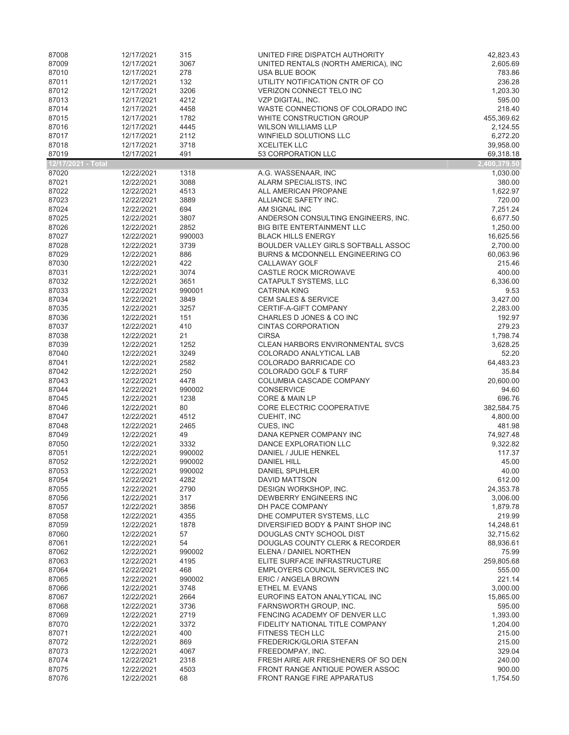| 87008              | 12/17/2021               | 315            | UNITED FIRE DISPATCH AUTHORITY                                 | 42,823.43              |
|--------------------|--------------------------|----------------|----------------------------------------------------------------|------------------------|
| 87009              | 12/17/2021               | 3067           | UNITED RENTALS (NORTH AMERICA), INC                            | 2,605.69               |
| 87010              | 12/17/2021               | 278            | USA BLUE BOOK                                                  | 783.86                 |
| 87011              | 12/17/2021               | 132            | UTILITY NOTIFICATION CNTR OF CO                                | 236.28                 |
| 87012              | 12/17/2021               | 3206           | VERIZON CONNECT TELO INC                                       | 1,203.30               |
| 87013              | 12/17/2021               | 4212           | VZP DIGITAL, INC.                                              | 595.00                 |
| 87014              | 12/17/2021               | 4458           | WASTE CONNECTIONS OF COLORADO INC                              | 218.40                 |
| 87015<br>87016     | 12/17/2021<br>12/17/2021 | 1782<br>4445   | WHITE CONSTRUCTION GROUP<br><b>WILSON WILLIAMS LLP</b>         | 455,369.62<br>2,124.55 |
| 87017              | 12/17/2021               | 2112           | WINFIELD SOLUTIONS LLC                                         | 6,272.20               |
| 87018              | 12/17/2021               | 3718           | <b>XCELITEK LLC</b>                                            | 39,958.00              |
| 87019              | 12/17/2021               | 491            | 53 CORPORATION LLC                                             | 69,318.18              |
| 12/17/2021 - Total |                          |                |                                                                | 2,400,379.50           |
| 87020              | 12/22/2021               | 1318           | A.G. WASSENAAR, INC                                            | 1,030.00               |
| 87021              | 12/22/2021               | 3088           | ALARM SPECIALISTS, INC                                         | 380.00                 |
| 87022              | 12/22/2021               | 4513           | ALL AMERICAN PROPANE                                           | 1,622.97               |
| 87023              | 12/22/2021               | 3889           | ALLIANCE SAFETY INC.                                           | 720.00                 |
| 87024              | 12/22/2021               | 694            | AM SIGNAL INC                                                  | 7,251.24               |
| 87025              | 12/22/2021               | 3807           | ANDERSON CONSULTING ENGINEERS, INC.                            | 6,677.50               |
| 87026              | 12/22/2021               | 2852           | <b>BIG BITE ENTERTAINMENT LLC</b>                              | 1,250.00               |
| 87027              | 12/22/2021               | 990003         | <b>BLACK HILLS ENERGY</b>                                      | 16,625.56              |
| 87028              | 12/22/2021               | 3739           | BOULDER VALLEY GIRLS SOFTBALL ASSOC                            | 2,700.00               |
| 87029              | 12/22/2021               | 886            | <b>BURNS &amp; MCDONNELL ENGINEERING CO</b>                    | 60,063.96              |
| 87030<br>87031     | 12/22/2021<br>12/22/2021 | 422<br>3074    | CALLAWAY GOLF                                                  | 215.46<br>400.00       |
| 87032              | 12/22/2021               | 3651           | CASTLE ROCK MICROWAVE<br>CATAPULT SYSTEMS, LLC                 | 6,336.00               |
| 87033              | 12/22/2021               | 990001         | <b>CATRINA KING</b>                                            | 9.53                   |
| 87034              | 12/22/2021               | 3849           | <b>CEM SALES &amp; SERVICE</b>                                 | 3,427.00               |
| 87035              | 12/22/2021               | 3257           | CERTIF-A-GIFT COMPANY                                          | 2,283.00               |
| 87036              | 12/22/2021               | 151            | CHARLES D JONES & CO INC                                       | 192.97                 |
| 87037              | 12/22/2021               | 410            | <b>CINTAS CORPORATION</b>                                      | 279.23                 |
| 87038              | 12/22/2021               | 21             | <b>CIRSA</b>                                                   | 1,798.74               |
| 87039              | 12/22/2021               | 1252           | <b>CLEAN HARBORS ENVIRONMENTAL SVCS</b>                        | 3,628.25               |
| 87040              | 12/22/2021               | 3249           | COLORADO ANALYTICAL LAB                                        | 52.20                  |
| 87041              | 12/22/2021               | 2582           | COLORADO BARRICADE CO                                          | 64,483.23              |
| 87042              | 12/22/2021               | 250            | <b>COLORADO GOLF &amp; TURF</b>                                | 35.84                  |
| 87043              | 12/22/2021               | 4478           | COLUMBIA CASCADE COMPANY                                       | 20,600.00              |
| 87044<br>87045     | 12/22/2021               | 990002<br>1238 | CONSERVICE                                                     | 94.60<br>696.76        |
| 87046              | 12/22/2021<br>12/22/2021 | 80             | <b>CORE &amp; MAIN LP</b><br>CORE ELECTRIC COOPERATIVE         | 382,584.75             |
| 87047              | 12/22/2021               | 4512           | CUEHIT, INC                                                    | 4,800.00               |
| 87048              | 12/22/2021               | 2465           | CUES, INC                                                      | 481.98                 |
| 87049              | 12/22/2021               | 49             | DANA KEPNER COMPANY INC                                        | 74,927.48              |
| 87050              | 12/22/2021               | 3332           | DANCE EXPLORATION LLC                                          | 9,322.82               |
| 87051              | 12/22/2021               | 990002         | DANIEL / JULIE HENKEL                                          | 117.37                 |
| 87052              | 12/22/2021               | 990002         | <b>DANIEL HILL</b>                                             | 45.00                  |
| 87053              | 12/22/2021               | 990002         | <b>DANIEL SPUHLER</b>                                          | 40.00                  |
| 87054              | 12/22/2021               | 4282           | DAVID MATTSON                                                  | 612.00                 |
| 87055              | 12/22/2021               | 2790           | DESIGN WORKSHOP, INC.                                          | 24,353.78              |
| 87056              | 12/22/2021               | 317            | DEWBERRY ENGINEERS INC                                         | 3,006.00               |
| 87057              | 12/22/2021               | 3856           | DH PACE COMPANY                                                | 1,879.78               |
| 87058<br>87059     | 12/22/2021<br>12/22/2021 | 4355<br>1878   | DHE COMPUTER SYSTEMS, LLC<br>DIVERSIFIED BODY & PAINT SHOP INC | 219.99<br>14,248.61    |
| 87060              | 12/22/2021               | 57             | DOUGLAS CNTY SCHOOL DIST                                       | 32,715.62              |
| 87061              | 12/22/2021               | 54             | DOUGLAS COUNTY CLERK & RECORDER                                | 88,936.61              |
| 87062              | 12/22/2021               | 990002         | ELENA / DANIEL NORTHEN                                         | 75.99                  |
| 87063              | 12/22/2021               | 4195           | ELITE SURFACE INFRASTRUCTURE                                   | 259,805.68             |
| 87064              | 12/22/2021               | 468            | EMPLOYERS COUNCIL SERVICES INC                                 | 555.00                 |
| 87065              | 12/22/2021               | 990002         | ERIC / ANGELA BROWN                                            | 221.14                 |
| 87066              | 12/22/2021               | 3748           | ETHEL M. EVANS                                                 | 3,000.00               |
| 87067              | 12/22/2021               | 2664           | EUROFINS EATON ANALYTICAL INC                                  | 15,865.00              |
| 87068              | 12/22/2021               | 3736           | FARNSWORTH GROUP, INC.                                         | 595.00                 |
| 87069              | 12/22/2021               | 2719           | FENCING ACADEMY OF DENVER LLC                                  | 1,393.00               |
| 87070              | 12/22/2021               | 3372           | FIDELITY NATIONAL TITLE COMPANY                                | 1,204.00               |
| 87071              | 12/22/2021               | 400            | FITNESS TECH LLC                                               | 215.00                 |
| 87072              | 12/22/2021               | 869            | FREDERICK/GLORIA STEFAN                                        | 215.00<br>329.04       |
| 87073<br>87074     | 12/22/2021<br>12/22/2021 | 4067<br>2318   | FREEDOMPAY, INC.<br>FRESH AIRE AIR FRESHENERS OF SO DEN        | 240.00                 |
| 87075              | 12/22/2021               | 4503           | FRONT RANGE ANTIQUE POWER ASSOC                                | 900.00                 |
| 87076              | 12/22/2021               | 68             | <b>FRONT RANGE FIRE APPARATUS</b>                              | 1,754.50               |
|                    |                          |                |                                                                |                        |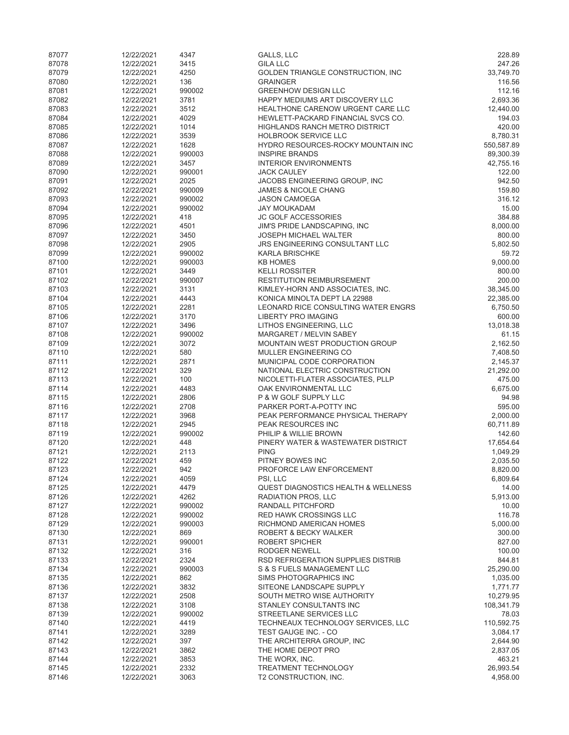| 87077          | 12/22/2021               | 4347           | GALLS, LLC                                                       | 228.89               |
|----------------|--------------------------|----------------|------------------------------------------------------------------|----------------------|
| 87078          | 12/22/2021               | 3415           | <b>GILA LLC</b>                                                  | 247.26               |
| 87079          | 12/22/2021               | 4250           | GOLDEN TRIANGLE CONSTRUCTION, INC                                | 33,749.70            |
| 87080<br>87081 | 12/22/2021<br>12/22/2021 | 136<br>990002  | <b>GRAINGER</b><br><b>GREENHOW DESIGN LLC</b>                    | 116.56<br>112.16     |
| 87082          | 12/22/2021               | 3781           | HAPPY MEDIUMS ART DISCOVERY LLC                                  | 2,693.36             |
| 87083          | 12/22/2021               | 3512           | HEALTHONE CARENOW URGENT CARE LLC                                | 12,440.00            |
| 87084          | 12/22/2021               | 4029           | HEWLETT-PACKARD FINANCIAL SVCS CO.                               | 194.03               |
| 87085          | 12/22/2021               | 1014           | <b>HIGHLANDS RANCH METRO DISTRICT</b>                            | 420.00               |
| 87086          | 12/22/2021               | 3539           | <b>HOLBROOK SERVICE LLC</b>                                      | 8,780.31             |
| 87087          | 12/22/2021               | 1628           | HYDRO RESOURCES-ROCKY MOUNTAIN INC                               | 550,587.89           |
| 87088          | 12/22/2021               | 990003         | <b>INSPIRE BRANDS</b>                                            | 89,300.39            |
| 87089<br>87090 | 12/22/2021<br>12/22/2021 | 3457<br>990001 | <b>INTERIOR ENVIRONMENTS</b><br><b>JACK CAULEY</b>               | 42,755.16<br>122.00  |
| 87091          | 12/22/2021               | 2025           | JACOBS ENGINEERING GROUP, INC                                    | 942.50               |
| 87092          | 12/22/2021               | 990009         | <b>JAMES &amp; NICOLE CHANG</b>                                  | 159.80               |
| 87093          | 12/22/2021               | 990002         | <b>JASON CAMOEGA</b>                                             | 316.12               |
| 87094          | 12/22/2021               | 990002         | <b>JAY MOUKADAM</b>                                              | 15.00                |
| 87095          | 12/22/2021               | 418            | <b>JC GOLF ACCESSORIES</b>                                       | 384.88               |
| 87096          | 12/22/2021               | 4501           | JIM'S PRIDE LANDSCAPING, INC                                     | 8,000.00             |
| 87097          | 12/22/2021               | 3450           | <b>JOSEPH MICHAEL WALTER</b>                                     | 800.00               |
| 87098<br>87099 | 12/22/2021<br>12/22/2021 | 2905<br>990002 | JRS ENGINEERING CONSULTANT LLC<br><b>KARLA BRISCHKE</b>          | 5,802.50<br>59.72    |
| 87100          | 12/22/2021               | 990003         | <b>KB HOMES</b>                                                  | 9,000.00             |
| 87101          | 12/22/2021               | 3449           | <b>KELLI ROSSITER</b>                                            | 800.00               |
| 87102          | 12/22/2021               | 990007         | <b>RESTITUTION REIMBURSEMENT</b>                                 | 200.00               |
| 87103          | 12/22/2021               | 3131           | KIMLEY-HORN AND ASSOCIATES, INC.                                 | 38,345.00            |
| 87104          | 12/22/2021               | 4443           | KONICA MINOLTA DEPT LA 22988                                     | 22,385.00            |
| 87105          | 12/22/2021               | 2281           | LEONARD RICE CONSULTING WATER ENGRS                              | 6,750.50             |
| 87106          | 12/22/2021               | 3170           | <b>LIBERTY PRO IMAGING</b>                                       | 600.00               |
| 87107<br>87108 | 12/22/2021<br>12/22/2021 | 3496<br>990002 | LITHOS ENGINEERING, LLC<br>MARGARET / MELVIN SABEY               | 13,018.38<br>61.15   |
| 87109          | 12/22/2021               | 3072           | <b>MOUNTAIN WEST PRODUCTION GROUP</b>                            | 2,162.50             |
| 87110          | 12/22/2021               | 580            | MULLER ENGINEERING CO                                            | 7,408.50             |
| 87111          | 12/22/2021               | 2871           | MUNICIPAL CODE CORPORATION                                       | 2,145.37             |
| 87112          | 12/22/2021               | 329            | NATIONAL ELECTRIC CONSTRUCTION                                   | 21,292.00            |
| 87113          | 12/22/2021               | 100            | NICOLETTI-FLATER ASSOCIATES, PLLP                                | 475.00               |
| 87114          | 12/22/2021               | 4483           | OAK ENVIRONMENTAL LLC                                            | 6,675.00             |
| 87115          | 12/22/2021               | 2806           | P & W GOLF SUPPLY LLC                                            | 94.98                |
| 87116<br>87117 | 12/22/2021<br>12/22/2021 | 2708<br>3968   | PARKER PORT-A-POTTY INC<br>PEAK PERFORMANCE PHYSICAL THERAPY     | 595.00<br>2,000.00   |
| 87118          | 12/22/2021               | 2945           | PEAK RESOURCES INC                                               | 60,711.89            |
| 87119          | 12/22/2021               | 990002         | PHILIP & WILLIE BROWN                                            | 142.60               |
| 87120          | 12/22/2021               | 448            | PINERY WATER & WASTEWATER DISTRICT                               | 17,654.64            |
| 87121          | 12/22/2021               | 2113           | <b>PING</b>                                                      | 1,049.29             |
| 87122          | 12/22/2021               | 459            | PITNEY BOWES INC                                                 | 2,035.50             |
| 87123          | 12/22/2021               | 942            | PROFORCE LAW ENFORCEMENT                                         | 8,820.00             |
| 87124<br>87125 | 12/22/2021               | 4059<br>4479   | PSI, LLC<br><b>QUEST DIAGNOSTICS HEALTH &amp; WELLNESS</b>       | 6,809.64             |
| 87126          | 12/22/2021<br>12/22/2021 | 4262           | RADIATION PROS, LLC                                              | 14.00<br>5,913.00    |
| 87127          | 12/22/2021               | 990002         | RANDALL PITCHFORD                                                | 10.00                |
| 87128          | 12/22/2021               | 990002         | <b>RED HAWK CROSSINGS LLC</b>                                    | 116.78               |
| 87129          | 12/22/2021               | 990003         | RICHMOND AMERICAN HOMES                                          | 5,000.00             |
| 87130          | 12/22/2021               | 869            | ROBERT & BECKY WALKER                                            | 300.00               |
| 87131          | 12/22/2021               | 990001         | ROBERT SPICHER                                                   | 827.00               |
| 87132          | 12/22/2021               | 316            | RODGER NEWELL                                                    | 100.00               |
| 87133<br>87134 | 12/22/2021<br>12/22/2021 | 2324<br>990003 | RSD REFRIGERATION SUPPLIES DISTRIB<br>S & S FUELS MANAGEMENT LLC | 844.81<br>25,290.00  |
| 87135          | 12/22/2021               | 862            | SIMS PHOTOGRAPHICS INC                                           | 1,035.00             |
| 87136          | 12/22/2021               | 3832           | SITEONE LANDSCAPE SUPPLY                                         | 1,771.77             |
| 87137          | 12/22/2021               | 2508           | SOUTH METRO WISE AUTHORITY                                       | 10,279.95            |
| 87138          | 12/22/2021               | 3108           | STANLEY CONSULTANTS INC                                          | 108,341.79           |
| 87139          | 12/22/2021               | 990002         | STREETLANE SERVICES LLC                                          | 78.03                |
| 87140          | 12/22/2021               | 4419           | TECHNEAUX TECHNOLOGY SERVICES, LLC                               | 110,592.75           |
| 87141          | 12/22/2021               | 3289           | TEST GAUGE INC. - CO                                             | 3,084.17             |
| 87142<br>87143 | 12/22/2021<br>12/22/2021 | 397<br>3862    | THE ARCHITERRA GROUP, INC<br>THE HOME DEPOT PRO                  | 2,644.90<br>2,837.05 |
| 87144          | 12/22/2021               | 3853           | THE WORX, INC.                                                   | 463.21               |
| 87145          | 12/22/2021               | 2332           | <b>TREATMENT TECHNOLOGY</b>                                      | 26,993.54            |
| 87146          | 12/22/2021               | 3063           | T2 CONSTRUCTION, INC.                                            | 4,958.00             |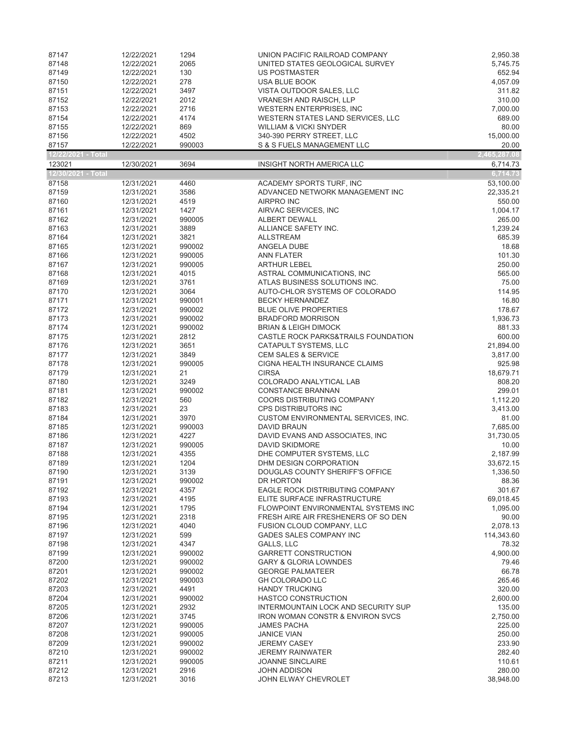| 87147              | 12/22/2021               | 1294           | UNION PACIFIC RAILROAD COMPANY                            | 2,950.38           |
|--------------------|--------------------------|----------------|-----------------------------------------------------------|--------------------|
| 87148              | 12/22/2021               | 2065           | UNITED STATES GEOLOGICAL SURVEY                           | 5,745.75           |
| 87149              | 12/22/2021               | 130            | <b>US POSTMASTER</b>                                      | 652.94             |
| 87150              | 12/22/2021               | 278            | <b>USA BLUE BOOK</b>                                      | 4,057.09           |
| 87151              | 12/22/2021               | 3497           | VISTA OUTDOOR SALES, LLC                                  | 311.82             |
| 87152              | 12/22/2021               | 2012           | <b>VRANESH AND RAISCH, LLP</b>                            | 310.00             |
| 87153              | 12/22/2021               | 2716           | WESTERN ENTERPRISES, INC.                                 | 7,000.00           |
| 87154              | 12/22/2021               | 4174           | WESTERN STATES LAND SERVICES, LLC                         | 689.00             |
| 87155              | 12/22/2021               | 869            | <b>WILLIAM &amp; VICKI SNYDER</b>                         | 80.00              |
| 87156              | 12/22/2021               | 4502           | 340-390 PERRY STREET, LLC                                 | 15,000.00          |
| 87157              | 12/22/2021               | 990003         | S & S FUELS MANAGEMENT LLC                                | 20.00              |
| 12/22/2021 - Total |                          |                |                                                           | 2,465,287.08       |
| 123021             | 12/30/2021               | 3694           | INSIGHT NORTH AMERICA LLC                                 | 6,714.73           |
| 12/30/2021 - Total |                          |                |                                                           | 6,714.73           |
| 87158              | 12/31/2021               | 4460           | ACADEMY SPORTS TURF, INC                                  | 53,100.00          |
| 87159              | 12/31/2021               | 3586           | ADVANCED NETWORK MANAGEMENT INC                           | 22,335.21          |
| 87160<br>87161     | 12/31/2021               | 4519<br>1427   | <b>AIRPRO INC</b><br>AIRVAC SERVICES, INC                 | 550.00<br>1,004.17 |
| 87162              | 12/31/2021<br>12/31/2021 | 990005         | ALBERT DEWALL                                             | 265.00             |
| 87163              | 12/31/2021               | 3889           | ALLIANCE SAFETY INC.                                      | 1,239.24           |
| 87164              | 12/31/2021               | 3821           | <b>ALLSTREAM</b>                                          | 685.39             |
| 87165              | 12/31/2021               | 990002         | ANGELA DUBE                                               | 18.68              |
| 87166              | 12/31/2021               | 990005         | <b>ANN FLATER</b>                                         | 101.30             |
| 87167              | 12/31/2021               | 990005         | <b>ARTHUR LEBEL</b>                                       | 250.00             |
| 87168              | 12/31/2021               | 4015           | ASTRAL COMMUNICATIONS, INC                                | 565.00             |
| 87169              | 12/31/2021               | 3761           | ATLAS BUSINESS SOLUTIONS INC.                             | 75.00              |
| 87170              | 12/31/2021               | 3064           | AUTO-CHLOR SYSTEMS OF COLORADO                            | 114.95             |
| 87171              | 12/31/2021               | 990001         | <b>BECKY HERNANDEZ</b>                                    | 16.80              |
| 87172              | 12/31/2021               | 990002         | <b>BLUE OLIVE PROPERTIES</b>                              | 178.67             |
| 87173              | 12/31/2021               | 990002         | <b>BRADFORD MORRISON</b>                                  | 1,936.73           |
| 87174              | 12/31/2021               | 990002         | <b>BRIAN &amp; LEIGH DIMOCK</b>                           | 881.33             |
| 87175              | 12/31/2021               | 2812           | CASTLE ROCK PARKS&TRAILS FOUNDATION                       | 600.00             |
| 87176              | 12/31/2021               | 3651           | CATAPULT SYSTEMS, LLC                                     | 21,894.00          |
| 87177              | 12/31/2021               | 3849           | <b>CEM SALES &amp; SERVICE</b>                            | 3,817.00           |
| 87178              | 12/31/2021               | 990005         | CIGNA HEALTH INSURANCE CLAIMS                             | 925.98             |
| 87179              | 12/31/2021               | 21             | <b>CIRSA</b>                                              | 18,679.71          |
| 87180              | 12/31/2021               | 3249           | COLORADO ANALYTICAL LAB                                   | 808.20             |
| 87181              | 12/31/2021               | 990002         | <b>CONSTANCE BRANNAN</b>                                  | 299.01             |
| 87182              | 12/31/2021               | 560            | COORS DISTRIBUTING COMPANY                                | 1,112.20           |
| 87183              | 12/31/2021               | 23             | <b>CPS DISTRIBUTORS INC</b>                               | 3,413.00           |
| 87184<br>87185     | 12/31/2021<br>12/31/2021 | 3970<br>990003 | CUSTOM ENVIRONMENTAL SERVICES, INC.<br><b>DAVID BRAUN</b> | 81.00<br>7,685.00  |
| 87186              | 12/31/2021               | 4227           | DAVID EVANS AND ASSOCIATES, INC                           | 31,730.05          |
| 87187              | 12/31/2021               | 990005         | DAVID SKIDMORE                                            | 10.00              |
| 87188              | 12/31/2021               | 4355           | DHE COMPUTER SYSTEMS. LLC                                 | 2,187.99           |
| 87189              | 12/31/2021               | 1204           | DHM DESIGN CORPORATION                                    | 33,672.15          |
| 87190              | 12/31/2021               | 3139           | DOUGLAS COUNTY SHERIFF'S OFFICE                           | 1,336.50           |
| 87191              | 12/31/2021               | 990002         | DR HORTON                                                 | 88.36              |
| 87192              | 12/31/2021               | 4357           | EAGLE ROCK DISTRIBUTING COMPANY                           | 301.67             |
| 87193              | 12/31/2021               | 4195           | ELITE SURFACE INFRASTRUCTURE                              | 69,018.45          |
| 87194              | 12/31/2021               | 1795           | FLOWPOINT ENVIRONMENTAL SYSTEMS INC                       | 1,095.00           |
| 87195              | 12/31/2021               | 2318           | FRESH AIRE AIR FRESHENERS OF SO DEN                       | 90.00              |
| 87196              | 12/31/2021               | 4040           | FUSION CLOUD COMPANY, LLC                                 | 2,078.13           |
| 87197              | 12/31/2021               | 599            | <b>GADES SALES COMPANY INC</b>                            | 114,343.60         |
| 87198              | 12/31/2021               | 4347           | GALLS, LLC                                                | 78.32              |
| 87199              | 12/31/2021               | 990002         | <b>GARRETT CONSTRUCTION</b>                               | 4,900.00           |
| 87200              | 12/31/2021               | 990002         | <b>GARY &amp; GLORIA LOWNDES</b>                          | 79.46              |
| 87201              | 12/31/2021               | 990002         | <b>GEORGE PALMATEER</b>                                   | 66.78              |
| 87202              | 12/31/2021               | 990003         | <b>GH COLORADO LLC</b>                                    | 265.46             |
| 87203              | 12/31/2021               | 4491           | <b>HANDY TRUCKING</b>                                     | 320.00             |
| 87204              | 12/31/2021               | 990002         | <b>HASTCO CONSTRUCTION</b>                                | 2,600.00           |
| 87205              | 12/31/2021               | 2932           | INTERMOUNTAIN LOCK AND SECURITY SUP                       | 135.00             |
| 87206              | 12/31/2021               | 3745           | IRON WOMAN CONSTR & ENVIRON SVCS                          | 2,750.00           |
| 87207              | 12/31/2021               | 990005         | <b>JAMES PACHA</b>                                        | 225.00             |
| 87208              | 12/31/2021               | 990005         | <b>JANICE VIAN</b>                                        | 250.00             |
| 87209              | 12/31/2021               | 990002         | JEREMY CASEY                                              | 233.90             |
| 87210              | 12/31/2021               | 990002         | JEREMY RAINWATER                                          | 282.40             |
| 87211<br>87212     | 12/31/2021               | 990005         | <b>JOANNE SINCLAIRE</b><br><b>JOHN ADDISON</b>            | 110.61<br>280.00   |
|                    | 12/31/2021               | 2916           | JOHN ELWAY CHEVROLET                                      |                    |
| 87213              | 12/31/2021               | 3016           |                                                           | 38,948.00          |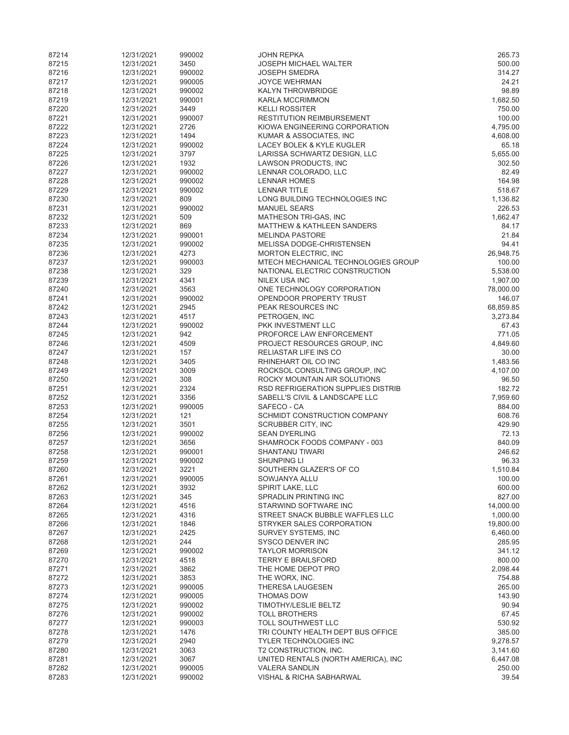| 87214          | 12/31/2021               | 990002         | <b>JOHN REPKA</b>                                              | 265.73               |
|----------------|--------------------------|----------------|----------------------------------------------------------------|----------------------|
| 87215          | 12/31/2021               | 3450           | <b>JOSEPH MICHAEL WALTER</b>                                   | 500.00               |
| 87216          | 12/31/2021               | 990002         | <b>JOSEPH SMEDRA</b>                                           | 314.27               |
| 87217          | 12/31/2021               | 990005         | <b>JOYCE WEHRMAN</b>                                           | 24.21                |
| 87218          | 12/31/2021               | 990002         | <b>KALYN THROWBRIDGE</b><br><b>KARLA MCCRIMMON</b>             | 98.89                |
| 87219<br>87220 | 12/31/2021<br>12/31/2021 | 990001<br>3449 | <b>KELLI ROSSITER</b>                                          | 1,682.50<br>750.00   |
| 87221          | 12/31/2021               | 990007         | <b>RESTITUTION REIMBURSEMENT</b>                               | 100.00               |
| 87222          | 12/31/2021               | 2726           | KIOWA ENGINEERING CORPORATION                                  | 4,795.00             |
| 87223          | 12/31/2021               | 1494           | KUMAR & ASSOCIATES, INC                                        | 4,608.00             |
| 87224          | 12/31/2021               | 990002         | LACEY BOLEK & KYLE KUGLER                                      | 65.18                |
| 87225          | 12/31/2021               | 3797           | LARISSA SCHWARTZ DESIGN, LLC                                   | 5,655.00             |
| 87226          | 12/31/2021               | 1932           | LAWSON PRODUCTS, INC                                           | 302.50               |
| 87227          | 12/31/2021               | 990002         | LENNAR COLORADO, LLC                                           | 82.49                |
| 87228          | 12/31/2021               | 990002         | <b>LENNAR HOMES</b>                                            | 164.98               |
| 87229          | 12/31/2021               | 990002         | <b>LENNAR TITLE</b>                                            | 518.67               |
| 87230          | 12/31/2021               | 809            | LONG BUILDING TECHNOLOGIES INC                                 | 1,136.82             |
| 87231<br>87232 | 12/31/2021               | 990002<br>509  | <b>MANUEL SEARS</b>                                            | 226.53<br>1,662.47   |
| 87233          | 12/31/2021<br>12/31/2021 | 869            | MATHESON TRI-GAS, INC<br><b>MATTHEW &amp; KATHLEEN SANDERS</b> | 84.17                |
| 87234          | 12/31/2021               | 990001         | <b>MELINDA PASTORE</b>                                         | 21.84                |
| 87235          | 12/31/2021               | 990002         | MELISSA DODGE-CHRISTENSEN                                      | 94.41                |
| 87236          | 12/31/2021               | 4273           | <b>MORTON ELECTRIC, INC</b>                                    | 26,948.75            |
| 87237          | 12/31/2021               | 990003         | MTECH MECHANICAL TECHNOLOGIES GROUP                            | 100.00               |
| 87238          | 12/31/2021               | 329            | NATIONAL ELECTRIC CONSTRUCTION                                 | 5,538.00             |
| 87239          | 12/31/2021               | 4341           | NILEX USA INC                                                  | 1,907.00             |
| 87240          | 12/31/2021               | 3563           | ONE TECHNOLOGY CORPORATION                                     | 78,000.00            |
| 87241          | 12/31/2021               | 990002         | OPENDOOR PROPERTY TRUST                                        | 146.07               |
| 87242          | 12/31/2021               | 2945           | PEAK RESOURCES INC                                             | 68,859.85            |
| 87243          | 12/31/2021               | 4517           | PETROGEN, INC                                                  | 3,273.84             |
| 87244<br>87245 | 12/31/2021<br>12/31/2021 | 990002<br>942  | PKK INVESTMENT LLC<br>PROFORCE LAW ENFORCEMENT                 | 67.43<br>771.05      |
| 87246          | 12/31/2021               | 4509           | PROJECT RESOURCES GROUP, INC                                   | 4,849.60             |
| 87247          | 12/31/2021               | 157            | RELIASTAR LIFE INS CO                                          | 30.00                |
| 87248          | 12/31/2021               | 3405           | RHINEHART OIL CO INC                                           | 1,483.56             |
| 87249          | 12/31/2021               | 3009           | ROCKSOL CONSULTING GROUP, INC                                  | 4,107.00             |
| 87250          | 12/31/2021               | 308            | ROCKY MOUNTAIN AIR SOLUTIONS                                   | 96.50                |
| 87251          | 12/31/2021               | 2324           | RSD REFRIGERATION SUPPLIES DISTRIB                             | 182.72               |
| 87252          | 12/31/2021               | 3356           | SABELL'S CIVIL & LANDSCAPE LLC                                 | 7,959.60             |
| 87253          | 12/31/2021               | 990005         | SAFECO - CA                                                    | 884.00               |
| 87254          | 12/31/2021               | 121            | SCHMIDT CONSTRUCTION COMPANY                                   | 608.76               |
| 87255          | 12/31/2021               | 3501           | <b>SCRUBBER CITY, INC</b>                                      | 429.90               |
| 87256<br>87257 | 12/31/2021<br>12/31/2021 | 990002<br>3656 | <b>SEAN DYERLING</b><br>SHAMROCK FOODS COMPANY - 003           | 72.13<br>840.09      |
| 87258          | 12/31/2021               | 990001         | <b>SHANTANU TIWARI</b>                                         | 246.62               |
| 87259          | 12/31/2021               | 990002         | <b>SHUNPING LI</b>                                             | 96.33                |
| 87260          | 12/31/2021               | 3221           | SOUTHERN GLAZER'S OF CO                                        | 1,510.84             |
| 87261          | 12/31/2021               | 990005         | SOWJANYA ALLU                                                  | 100.00               |
| 87262          | 12/31/2021               | 3932           | SPIRIT LAKE, LLC                                               | 600.00               |
| 87263          | 12/31/2021               | 345            | SPRADLIN PRINTING INC                                          | 827.00               |
| 87264          | 12/31/2021               | 4516           | STARWIND SOFTWARE INC                                          | 14,000.00            |
| 87265          | 12/31/2021               | 4316           | STREET SNACK BUBBLE WAFFLES LLC                                | 1,000.00             |
| 87266          | 12/31/2021               | 1846           | STRYKER SALES CORPORATION                                      | 19,800.00            |
| 87267<br>87268 | 12/31/2021<br>12/31/2021 | 2425<br>244    | SURVEY SYSTEMS, INC<br>SYSCO DENVER INC                        | 6,460.00<br>285.95   |
| 87269          | 12/31/2021               | 990002         | <b>TAYLOR MORRISON</b>                                         | 341.12               |
| 87270          | 12/31/2021               | 4518           | <b>TERRY E BRAILSFORD</b>                                      | 800.00               |
| 87271          | 12/31/2021               | 3862           | THE HOME DEPOT PRO                                             | 2,098.44             |
| 87272          | 12/31/2021               | 3853           | THE WORX, INC.                                                 | 754.88               |
| 87273          | 12/31/2021               | 990005         | <b>THERESA LAUGESEN</b>                                        | 265.00               |
| 87274          | 12/31/2021               | 990005         | <b>THOMAS DOW</b>                                              | 143.90               |
| 87275          | 12/31/2021               | 990002         | <b>TIMOTHY/LESLIE BELTZ</b>                                    | 90.94                |
| 87276          | 12/31/2021               | 990002         | <b>TOLL BROTHERS</b>                                           | 67.45                |
| 87277          | 12/31/2021               | 990003         | TOLL SOUTHWEST LLC                                             | 530.92               |
| 87278          | 12/31/2021               | 1476           | TRI COUNTY HEALTH DEPT BUS OFFICE                              | 385.00               |
| 87279<br>87280 | 12/31/2021<br>12/31/2021 | 2940<br>3063   | <b>TYLER TECHNOLOGIES INC</b><br>T2 CONSTRUCTION, INC.         | 9,278.57<br>3,141.60 |
| 87281          | 12/31/2021               | 3067           | UNITED RENTALS (NORTH AMERICA), INC                            | 6,447.08             |
| 87282          | 12/31/2021               | 990005         | <b>VALERA SANDLIN</b>                                          | 250.00               |
| 87283          | 12/31/2021               | 990002         | VISHAL & RICHA SABHARWAL                                       | 39.54                |
|                |                          |                |                                                                |                      |